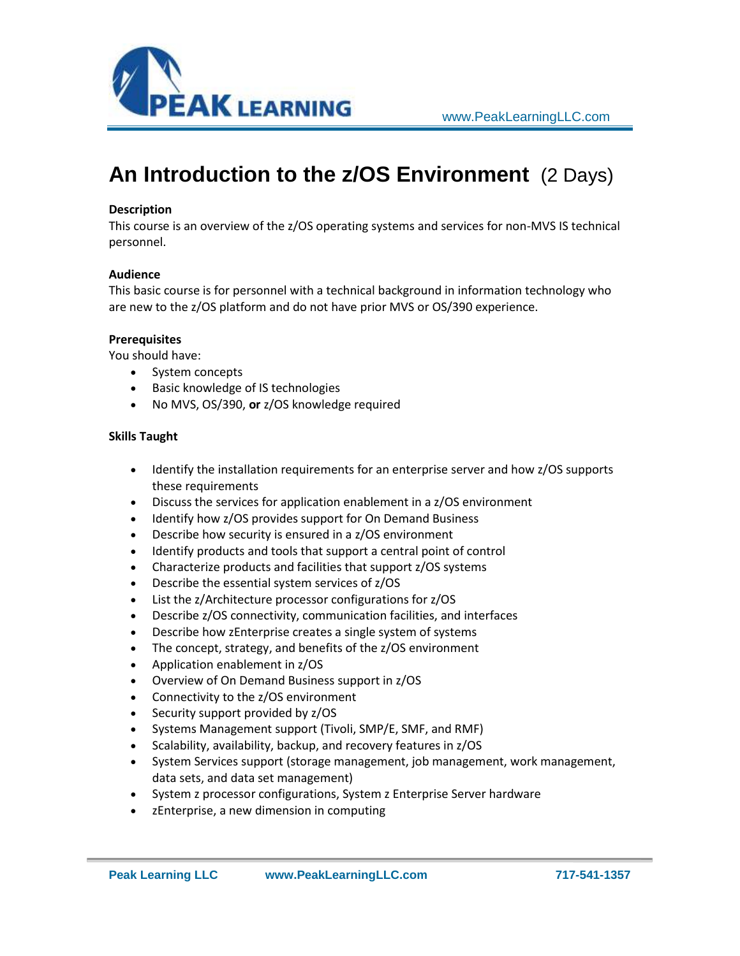

# **An Introduction to the z/OS Environment** (2 Days)

### **Description**

This course is an overview of the z/OS operating systems and services for non-MVS IS technical personnel.

#### **Audience**

This basic course is for personnel with a technical background in information technology who are new to the z/OS platform and do not have prior MVS or OS/390 experience.

#### **Prerequisites**

You should have:

- System concepts
- **•** Basic knowledge of IS technologies
- No MVS, OS/390, **or** z/OS knowledge required

#### **Skills Taught**

- Identify the installation requirements for an enterprise server and how z/OS supports these requirements
- Discuss the services for application enablement in a z/OS environment
- Identify how z/OS provides support for On Demand Business
- Describe how security is ensured in a z/OS environment
- Identify products and tools that support a central point of control
- Characterize products and facilities that support z/OS systems
- Describe the essential system services of z/OS
- List the z/Architecture processor configurations for z/OS
- Describe z/OS connectivity, communication facilities, and interfaces
- Describe how zEnterprise creates a single system of systems
- The concept, strategy, and benefits of the z/OS environment
- Application enablement in z/OS
- Overview of On Demand Business support in z/OS
- Connectivity to the z/OS environment
- Security support provided by z/OS
- Systems Management support (Tivoli, SMP/E, SMF, and RMF)
- Scalability, availability, backup, and recovery features in z/OS
- System Services support (storage management, job management, work management, data sets, and data set management)
- System z processor configurations, System z Enterprise Server hardware
- zEnterprise, a new dimension in computing